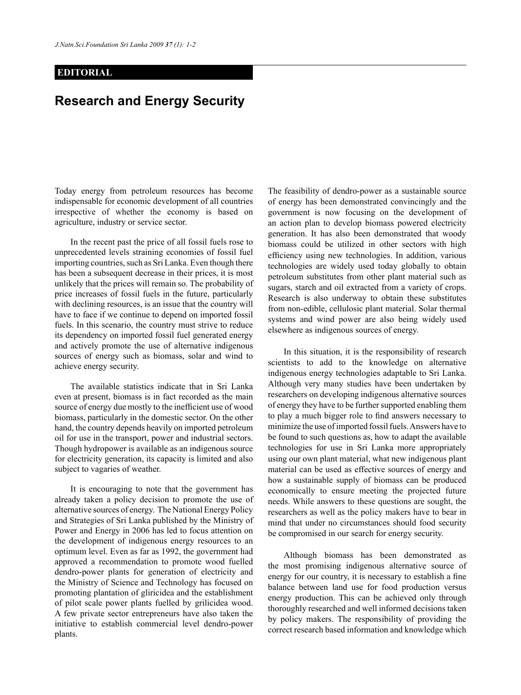## **EDITORIAL**

## **Research and Energy Security**

Today energy from petroleum resources has become indispensable for economic development of all countries irrespective of whether the economy is based on agriculture, industry or service sector.

In the recent past the price of all fossil fuels rose to unprecedented levels straining economies of fossil fuel importing countries, such as Sri Lanka. Even though there has been a subsequent decrease in their prices, it is most unlikely that the prices will remain so. The probability of price increases of fossil fuels in the future, particularly with declining resources, is an issue that the country will have to face if we continue to depend on imported fossil fuels. In this scenario, the country must strive to reduce its dependency on imported fossil fuel generated energy and actively promote the use of alternative indigenous sources of energy such as biomass, solar and wind to achieve energy security.

The available statistics indicate that in Sri Lanka even at present, biomass is in fact recorded as the main source of energy due mostly to the inefficient use of wood biomass, particularly in the domestic sector. On the other hand, the country depends heavily on imported petroleum oil for use in the transport, power and industrial sectors. Though hydropower is available as an indigenous source for electricity generation, its capacity is limited and also subject to vagaries of weather.

It is encouraging to note that the government has already taken a policy decision to promote the use of alternative sources of energy. The National Energy Policy and Strategies of Sri Lanka published by the Ministry of Power and Energy in 2006 has led to focus attention on the development of indigenous energy resources to an optimum level. Even as far as 1992, the government had approved a recommendation to promote wood fuelled dendro-power plants for generation of electricity and the Ministry of Science and Technology has focused on promoting plantation of gliricidea and the establishment of pilot scale power plants fuelled by grilicidea wood. A few private sector entrepreneurs have also taken the initiative to establish commercial level dendro-power plants.

The feasibility of dendro-power as a sustainable source of energy has been demonstrated convincingly and the government is now focusing on the development of an action plan to develop biomass powered electricity generation. It has also been demonstrated that woody biomass could be utilized in other sectors with high efficiency using new technologies. In addition, various technologies are widely used today globally to obtain petroleum substitutes from other plant material such as sugars, starch and oil extracted from a variety of crops. Research is also underway to obtain these substitutes from non-edible, cellulosic plant material. Solar thermal systems and wind power are also being widely used elsewhere as indigenous sources of energy.

In this situation, it is the responsibility of research scientists to add to the knowledge on alternative indigenous energy technologies adaptable to Sri Lanka. Although very many studies have been undertaken by researchers on developing indigenous alternative sources of energy they have to be further supported enabling them to play a much bigger role to find answers necessary to minimize the use of imported fossil fuels. Answers have to be found to such questions as, how to adapt the available technologies for use in Sri Lanka more appropriately using our own plant material, what new indigenous plant material can be used as effective sources of energy and how a sustainable supply of biomass can be produced economically to ensure meeting the projected future needs. While answers to these questions are sought, the researchers as well as the policy makers have to bear in mind that under no circumstances should food security be compromised in our search for energy security.

Although biomass has been demonstrated as the most promising indigenous alternative source of energy for our country, it is necessary to establish a fine balance between land use for food production versus energy production. This can be achieved only through thoroughly researched and well informed decisions taken by policy makers. The responsibility of providing the correct research based information and knowledge which